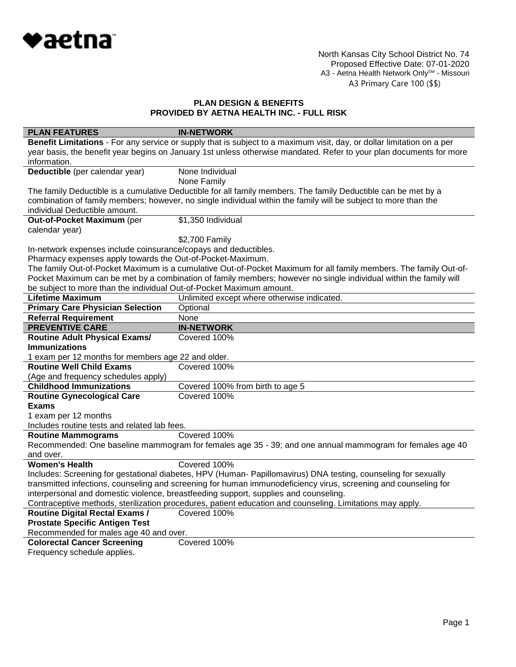

North Kansas City School District No. 74 Proposed Effective Date: 07-01-2020 A3 - Aetna Health Network Only<sup>sм</sup> - Missouri A3 Primary Care 100 (\$\$)

# **PLAN DESIGN & BENEFITS PROVIDED BY AETNA HEALTH INC. - FULL RISK**

| <b>PLAN FEATURES</b>                                                                                                | <b>IN-NETWORK</b>                                                                                                      |  |
|---------------------------------------------------------------------------------------------------------------------|------------------------------------------------------------------------------------------------------------------------|--|
|                                                                                                                     | Benefit Limitations - For any service or supply that is subject to a maximum visit, day, or dollar limitation on a per |  |
| year basis, the benefit year begins on January 1st unless otherwise mandated. Refer to your plan documents for more |                                                                                                                        |  |
| information.                                                                                                        |                                                                                                                        |  |
| Deductible (per calendar year)                                                                                      | None Individual                                                                                                        |  |
|                                                                                                                     | None Family                                                                                                            |  |
| The family Deductible is a cumulative Deductible for all family members. The family Deductible can be met by a      |                                                                                                                        |  |
|                                                                                                                     | combination of family members; however, no single individual within the family will be subject to more than the        |  |
| individual Deductible amount.                                                                                       |                                                                                                                        |  |
| Out-of-Pocket Maximum (per                                                                                          | \$1,350 Individual                                                                                                     |  |
| calendar year)                                                                                                      |                                                                                                                        |  |
|                                                                                                                     | \$2,700 Family                                                                                                         |  |
| In-network expenses include coinsurance/copays and deductibles.                                                     |                                                                                                                        |  |
| Pharmacy expenses apply towards the Out-of-Pocket-Maximum.                                                          |                                                                                                                        |  |
|                                                                                                                     | The family Out-of-Pocket Maximum is a cumulative Out-of-Pocket Maximum for all family members. The family Out-of-      |  |
|                                                                                                                     | Pocket Maximum can be met by a combination of family members; however no single individual within the family will      |  |
| be subject to more than the individual Out-of-Pocket Maximum amount.                                                |                                                                                                                        |  |
| <b>Lifetime Maximum</b>                                                                                             | Unlimited except where otherwise indicated.                                                                            |  |
| <b>Primary Care Physician Selection</b>                                                                             | Optional<br>None                                                                                                       |  |
| <b>Referral Requirement</b>                                                                                         |                                                                                                                        |  |
| <b>PREVENTIVE CARE</b>                                                                                              | <b>IN-NETWORK</b>                                                                                                      |  |
| <b>Routine Adult Physical Exams/</b><br><b>Immunizations</b>                                                        | Covered 100%                                                                                                           |  |
| 1 exam per 12 months for members age 22 and older.                                                                  |                                                                                                                        |  |
| <b>Routine Well Child Exams</b>                                                                                     | Covered 100%                                                                                                           |  |
| (Age and frequency schedules apply)                                                                                 |                                                                                                                        |  |
| <b>Childhood Immunizations</b>                                                                                      | Covered 100% from birth to age 5                                                                                       |  |
| <b>Routine Gynecological Care</b>                                                                                   | Covered 100%                                                                                                           |  |
| <b>Exams</b>                                                                                                        |                                                                                                                        |  |
| 1 exam per 12 months                                                                                                |                                                                                                                        |  |
| Includes routine tests and related lab fees.                                                                        |                                                                                                                        |  |
| <b>Routine Mammograms</b>                                                                                           | Covered 100%                                                                                                           |  |
|                                                                                                                     | Recommended: One baseline mammogram for females age 35 - 39; and one annual mammogram for females age 40               |  |
| and over.                                                                                                           |                                                                                                                        |  |
| <b>Women's Health</b>                                                                                               | Covered 100%                                                                                                           |  |
|                                                                                                                     | Includes: Screening for gestational diabetes, HPV (Human- Papillomavirus) DNA testing, counseling for sexually         |  |
| transmitted infections, counseling and screening for human immunodeficiency virus, screening and counseling for     |                                                                                                                        |  |
| interpersonal and domestic violence, breastfeeding support, supplies and counseling.                                |                                                                                                                        |  |
|                                                                                                                     | Contraceptive methods, sterilization procedures, patient education and counseling. Limitations may apply.              |  |
| <b>Routine Digital Rectal Exams /</b>                                                                               | Covered 100%                                                                                                           |  |
| <b>Prostate Specific Antigen Test</b>                                                                               |                                                                                                                        |  |
| Recommended for males age 40 and over.                                                                              |                                                                                                                        |  |
| <b>Colorectal Cancer Screening</b>                                                                                  | Covered 100%                                                                                                           |  |
| Frequency schedule applies.                                                                                         |                                                                                                                        |  |
|                                                                                                                     |                                                                                                                        |  |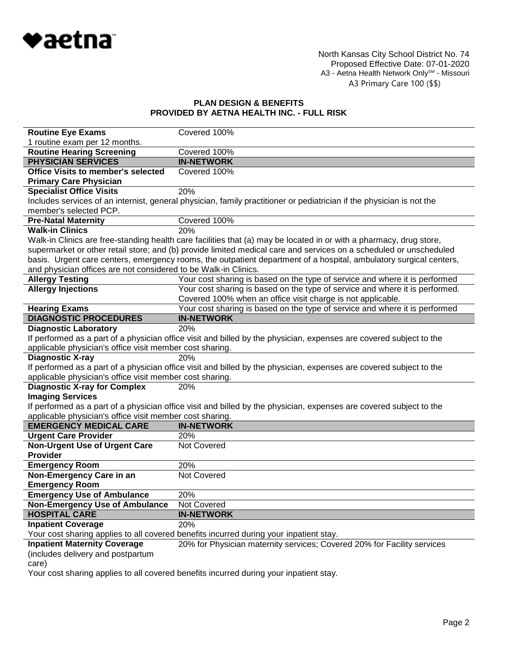

# **PLAN DESIGN & BENEFITS PROVIDED BY AETNA HEALTH INC. - FULL RISK**

| <b>Routine Eye Exams</b>                                        | Covered 100%                                                                                                          |
|-----------------------------------------------------------------|-----------------------------------------------------------------------------------------------------------------------|
| 1 routine exam per 12 months.                                   |                                                                                                                       |
| <b>Routine Hearing Screening</b>                                | Covered 100%                                                                                                          |
| <b>PHYSICIAN SERVICES</b>                                       | <b>IN-NETWORK</b>                                                                                                     |
| <b>Office Visits to member's selected</b>                       | Covered 100%                                                                                                          |
| <b>Primary Care Physician</b>                                   |                                                                                                                       |
| <b>Specialist Office Visits</b>                                 | 20%                                                                                                                   |
|                                                                 | Includes services of an internist, general physician, family practitioner or pediatrician if the physician is not the |
| member's selected PCP.                                          |                                                                                                                       |
| <b>Pre-Natal Maternity</b>                                      | Covered 100%                                                                                                          |
| <b>Walk-in Clinics</b>                                          | 20%                                                                                                                   |
|                                                                 | Walk-in Clinics are free-standing health care facilities that (a) may be located in or with a pharmacy, drug store,   |
|                                                                 | supermarket or other retail store; and (b) provide limited medical care and services on a scheduled or unscheduled    |
|                                                                 | basis. Urgent care centers, emergency rooms, the outpatient department of a hospital, ambulatory surgical centers,    |
| and physician offices are not considered to be Walk-in Clinics. |                                                                                                                       |
| <b>Allergy Testing</b>                                          | Your cost sharing is based on the type of service and where it is performed                                           |
| <b>Allergy Injections</b>                                       | Your cost sharing is based on the type of service and where it is performed.                                          |
|                                                                 | Covered 100% when an office visit charge is not applicable.                                                           |
| <b>Hearing Exams</b>                                            | Your cost sharing is based on the type of service and where it is performed                                           |
| <b>DIAGNOSTIC PROCEDURES</b>                                    | <b>IN-NETWORK</b>                                                                                                     |
| <b>Diagnostic Laboratory</b>                                    | 20%                                                                                                                   |
|                                                                 | If performed as a part of a physician office visit and billed by the physician, expenses are covered subject to the   |
| applicable physician's office visit member cost sharing.        |                                                                                                                       |
| <b>Diagnostic X-ray</b>                                         | 20%                                                                                                                   |
|                                                                 | If performed as a part of a physician office visit and billed by the physician, expenses are covered subject to the   |
| applicable physician's office visit member cost sharing.        |                                                                                                                       |
| <b>Diagnostic X-ray for Complex</b>                             | 20%                                                                                                                   |
| <b>Imaging Services</b>                                         |                                                                                                                       |
|                                                                 | If performed as a part of a physician office visit and billed by the physician, expenses are covered subject to the   |
| applicable physician's office visit member cost sharing.        |                                                                                                                       |
| <b>EMERGENCY MEDICAL CARE</b>                                   | <b>IN-NETWORK</b>                                                                                                     |
| <b>Urgent Care Provider</b>                                     | 20%                                                                                                                   |
| <b>Non-Urgent Use of Urgent Care</b>                            | Not Covered                                                                                                           |
| Provider                                                        |                                                                                                                       |
| <b>Emergency Room</b>                                           | 20%                                                                                                                   |
| Non-Emergency Care in an                                        | Not Covered                                                                                                           |
| <b>Emergency Room</b>                                           |                                                                                                                       |
| <b>Emergency Use of Ambulance</b>                               | 20%                                                                                                                   |
| <b>Non-Emergency Use of Ambulance</b>                           | Not Covered                                                                                                           |
| <b>HOSPITAL CARE</b>                                            | <b>IN-NETWORK</b>                                                                                                     |
| <b>Inpatient Coverage</b>                                       | 20%                                                                                                                   |
|                                                                 | Your cost sharing applies to all covered benefits incurred during your inpatient stay.                                |
| <b>Inpatient Maternity Coverage</b>                             | 20% for Physician maternity services; Covered 20% for Facility services                                               |

# **Inpatient Maternity Coverage**

(includes delivery and postpartum

care)

Your cost sharing applies to all covered benefits incurred during your inpatient stay.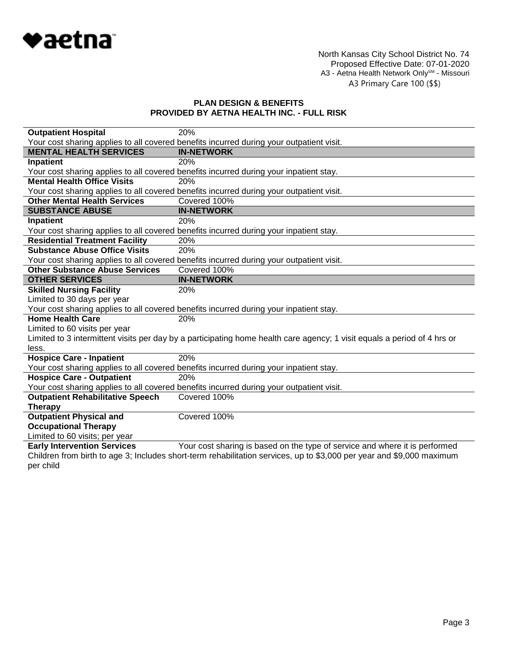

# **PLAN DESIGN & BENEFITS PROVIDED BY AETNA HEALTH INC. - FULL RISK**

| <b>Outpatient Hospital</b>                                                                                            | 20%                                                                                                                      |  |
|-----------------------------------------------------------------------------------------------------------------------|--------------------------------------------------------------------------------------------------------------------------|--|
|                                                                                                                       | Your cost sharing applies to all covered benefits incurred during your outpatient visit.                                 |  |
| <b>MENTAL HEALTH SERVICES</b>                                                                                         | <b>IN-NETWORK</b>                                                                                                        |  |
| Inpatient                                                                                                             | 20%                                                                                                                      |  |
|                                                                                                                       | Your cost sharing applies to all covered benefits incurred during your inpatient stay.                                   |  |
| <b>Mental Health Office Visits</b>                                                                                    | 20%                                                                                                                      |  |
|                                                                                                                       | Your cost sharing applies to all covered benefits incurred during your outpatient visit.                                 |  |
| <b>Other Mental Health Services</b>                                                                                   | Covered 100%                                                                                                             |  |
| <b>SUBSTANCE ABUSE</b>                                                                                                | <b>IN-NETWORK</b>                                                                                                        |  |
| Inpatient                                                                                                             | 20%                                                                                                                      |  |
|                                                                                                                       | Your cost sharing applies to all covered benefits incurred during your inpatient stay.                                   |  |
| <b>Residential Treatment Facility</b>                                                                                 | 20%                                                                                                                      |  |
| <b>Substance Abuse Office Visits</b>                                                                                  | 20%                                                                                                                      |  |
|                                                                                                                       | Your cost sharing applies to all covered benefits incurred during your outpatient visit.                                 |  |
| <b>Other Substance Abuse Services</b>                                                                                 | Covered 100%                                                                                                             |  |
| <b>OTHER SERVICES</b>                                                                                                 | <b>IN-NETWORK</b>                                                                                                        |  |
| <b>Skilled Nursing Facility</b>                                                                                       | 20%                                                                                                                      |  |
| Limited to 30 days per year                                                                                           |                                                                                                                          |  |
|                                                                                                                       | Your cost sharing applies to all covered benefits incurred during your inpatient stay.                                   |  |
| <b>Home Health Care</b>                                                                                               | 20%                                                                                                                      |  |
| Limited to 60 visits per year                                                                                         |                                                                                                                          |  |
|                                                                                                                       | Limited to 3 intermittent visits per day by a participating home health care agency; 1 visit equals a period of 4 hrs or |  |
| less.                                                                                                                 |                                                                                                                          |  |
| <b>Hospice Care - Inpatient</b>                                                                                       | 20%                                                                                                                      |  |
|                                                                                                                       | Your cost sharing applies to all covered benefits incurred during your inpatient stay.                                   |  |
| <b>Hospice Care - Outpatient</b>                                                                                      | 20%                                                                                                                      |  |
|                                                                                                                       | Your cost sharing applies to all covered benefits incurred during your outpatient visit.                                 |  |
| <b>Outpatient Rehabilitative Speech</b>                                                                               | Covered 100%                                                                                                             |  |
| <b>Therapy</b>                                                                                                        |                                                                                                                          |  |
| <b>Outpatient Physical and</b>                                                                                        | Covered 100%                                                                                                             |  |
| <b>Occupational Therapy</b>                                                                                           |                                                                                                                          |  |
| Limited to 60 visits; per year                                                                                        |                                                                                                                          |  |
| <b>Early Intervention Services</b>                                                                                    | Your cost sharing is based on the type of service and where it is performed                                              |  |
| Children from birth to age 3; Includes short-term rehabilitation services, up to \$3,000 per year and \$9,000 maximum |                                                                                                                          |  |

per child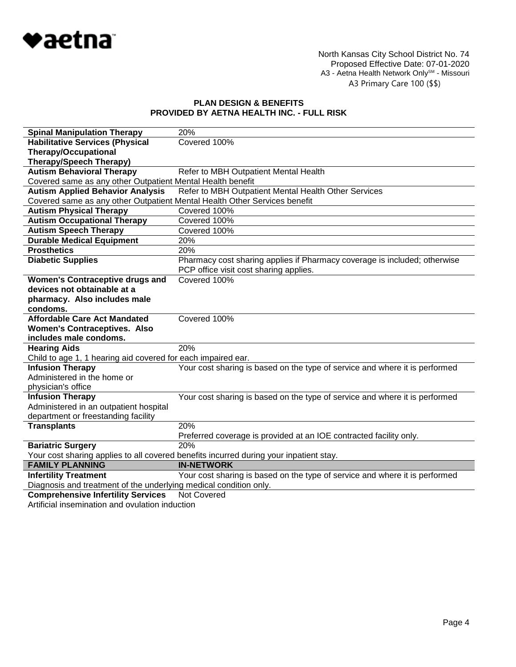

North Kansas City School District No. 74 Proposed Effective Date: 07-01-2020 A3 - Aetna Health Network Only<sup>sм</sup> - Missouri A3 Primary Care 100 (\$\$)

# **PLAN DESIGN & BENEFITS PROVIDED BY AETNA HEALTH INC. - FULL RISK**

| <b>Spinal Manipulation Therapy</b>                                                     | 20%                                                                         |
|----------------------------------------------------------------------------------------|-----------------------------------------------------------------------------|
| <b>Habilitative Services (Physical</b>                                                 | Covered 100%                                                                |
| <b>Therapy/Occupational</b>                                                            |                                                                             |
| <b>Therapy/Speech Therapy)</b>                                                         |                                                                             |
| <b>Autism Behavioral Therapy</b>                                                       | Refer to MBH Outpatient Mental Health                                       |
| Covered same as any other Outpatient Mental Health benefit                             |                                                                             |
| <b>Autism Applied Behavior Analysis</b>                                                | Refer to MBH Outpatient Mental Health Other Services                        |
| Covered same as any other Outpatient Mental Health Other Services benefit              |                                                                             |
| <b>Autism Physical Therapy</b>                                                         | Covered 100%                                                                |
| <b>Autism Occupational Therapy</b>                                                     | Covered 100%                                                                |
| <b>Autism Speech Therapy</b>                                                           | Covered 100%                                                                |
| <b>Durable Medical Equipment</b>                                                       | 20%                                                                         |
| <b>Prosthetics</b>                                                                     | 20%                                                                         |
| <b>Diabetic Supplies</b>                                                               | Pharmacy cost sharing applies if Pharmacy coverage is included; otherwise   |
|                                                                                        | PCP office visit cost sharing applies.                                      |
| <b>Women's Contraceptive drugs and</b>                                                 | Covered 100%                                                                |
| devices not obtainable at a                                                            |                                                                             |
| pharmacy. Also includes male                                                           |                                                                             |
| condoms.                                                                               |                                                                             |
| <b>Affordable Care Act Mandated</b>                                                    | Covered 100%                                                                |
| <b>Women's Contraceptives. Also</b>                                                    |                                                                             |
| includes male condoms.                                                                 |                                                                             |
| <b>Hearing Aids</b>                                                                    | 20%                                                                         |
| Child to age 1, 1 hearing aid covered for each impaired ear.                           |                                                                             |
| <b>Infusion Therapy</b>                                                                | Your cost sharing is based on the type of service and where it is performed |
| Administered in the home or                                                            |                                                                             |
| physician's office                                                                     |                                                                             |
| <b>Infusion Therapy</b>                                                                | Your cost sharing is based on the type of service and where it is performed |
| Administered in an outpatient hospital                                                 |                                                                             |
| department or freestanding facility                                                    |                                                                             |
| <b>Transplants</b>                                                                     | 20%                                                                         |
|                                                                                        | Preferred coverage is provided at an IOE contracted facility only.          |
| <b>Bariatric Surgery</b>                                                               | 20%                                                                         |
| Your cost sharing applies to all covered benefits incurred during your inpatient stay. |                                                                             |
| <b>FAMILY PLANNING</b>                                                                 | <b>IN-NETWORK</b>                                                           |
| <b>Infertility Treatment</b>                                                           | Your cost sharing is based on the type of service and where it is performed |
| Diagnosis and treatment of the underlying medical condition only.                      |                                                                             |
| <b>Comprehensive Infertility Services</b>                                              | <b>Not Covered</b>                                                          |

Artificial insemination and ovulation induction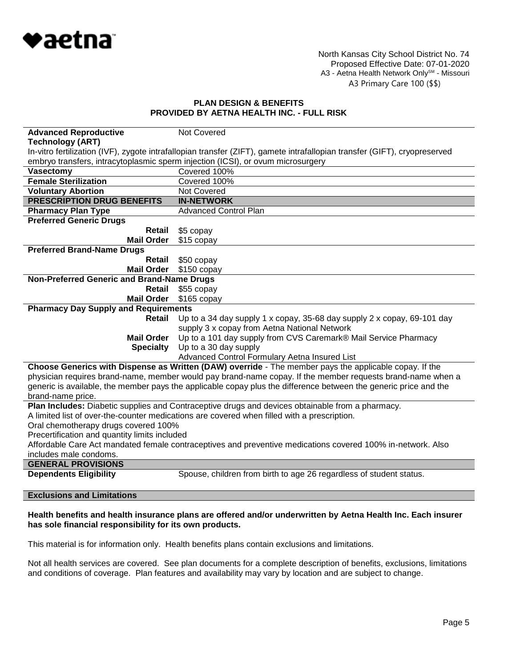

North Kansas City School District No. 74 Proposed Effective Date: 07-01-2020 A3 - Aetna Health Network Only<sup>SM</sup> - Missouri A3 Primary Care 100 (\$\$)

### **PLAN DESIGN & BENEFITS PROVIDED BY AETNA HEALTH INC. - FULL RISK**

| <b>Advanced Reproductive</b>                                                                                | Not Covered                                                                                                               |  |
|-------------------------------------------------------------------------------------------------------------|---------------------------------------------------------------------------------------------------------------------------|--|
| <b>Technology (ART)</b>                                                                                     |                                                                                                                           |  |
|                                                                                                             | In-vitro fertilization (IVF), zygote intrafallopian transfer (ZIFT), gamete intrafallopian transfer (GIFT), cryopreserved |  |
|                                                                                                             | embryo transfers, intracytoplasmic sperm injection (ICSI), or ovum microsurgery                                           |  |
| <b>Vasectomy</b>                                                                                            | Covered 100%                                                                                                              |  |
| <b>Female Sterilization</b>                                                                                 | Covered 100%                                                                                                              |  |
| <b>Voluntary Abortion</b>                                                                                   | Not Covered                                                                                                               |  |
| <b>PRESCRIPTION DRUG BENEFITS</b>                                                                           | <b>IN-NETWORK</b>                                                                                                         |  |
| <b>Pharmacy Plan Type</b>                                                                                   | <b>Advanced Control Plan</b>                                                                                              |  |
| <b>Preferred Generic Drugs</b>                                                                              |                                                                                                                           |  |
| Retail                                                                                                      | \$5 copay                                                                                                                 |  |
| <b>Mail Order</b>                                                                                           | \$15 copay                                                                                                                |  |
| <b>Preferred Brand-Name Drugs</b>                                                                           |                                                                                                                           |  |
| Retail                                                                                                      | \$50 copay                                                                                                                |  |
| <b>Mail Order</b>                                                                                           | $$150$ copay                                                                                                              |  |
| Non-Preferred Generic and Brand-Name Drugs                                                                  |                                                                                                                           |  |
| Retail                                                                                                      | \$55 copay                                                                                                                |  |
| <b>Mail Order</b>                                                                                           | $$165$ copay                                                                                                              |  |
| <b>Pharmacy Day Supply and Requirements</b>                                                                 |                                                                                                                           |  |
| Retail                                                                                                      | Up to a 34 day supply 1 x copay, 35-68 day supply 2 x copay, 69-101 day                                                   |  |
|                                                                                                             | supply 3 x copay from Aetna National Network                                                                              |  |
| <b>Mail Order</b>                                                                                           | Up to a 101 day supply from CVS Caremark® Mail Service Pharmacy                                                           |  |
| <b>Specialty</b>                                                                                            | Up to a 30 day supply                                                                                                     |  |
|                                                                                                             | Advanced Control Formulary Aetna Insured List                                                                             |  |
|                                                                                                             | Choose Generics with Dispense as Written (DAW) override - The member pays the applicable copay. If the                    |  |
|                                                                                                             | physician requires brand-name, member would pay brand-name copay. If the member requests brand-name when a                |  |
|                                                                                                             | generic is available, the member pays the applicable copay plus the difference between the generic price and the          |  |
| brand-name price.                                                                                           |                                                                                                                           |  |
|                                                                                                             | Plan Includes: Diabetic supplies and Contraceptive drugs and devices obtainable from a pharmacy.                          |  |
|                                                                                                             | A limited list of over-the-counter medications are covered when filled with a prescription.                               |  |
| Oral chemotherapy drugs covered 100%                                                                        |                                                                                                                           |  |
| Precertification and quantity limits included                                                               |                                                                                                                           |  |
| Affordable Care Act mandated female contraceptives and preventive medications covered 100% in-network. Also |                                                                                                                           |  |
| includes male condoms.                                                                                      |                                                                                                                           |  |
| <b>GENERAL PROVISIONS</b>                                                                                   |                                                                                                                           |  |
| <b>Dependents Eligibility</b>                                                                               | Spouse, children from birth to age 26 regardless of student status.                                                       |  |
|                                                                                                             |                                                                                                                           |  |
|                                                                                                             |                                                                                                                           |  |

# **Exclusions and Limitations**

#### **Health benefits and health insurance plans are offered and/or underwritten by Aetna Health Inc. Each insurer has sole financial responsibility for its own products.**

This material is for information only. Health benefits plans contain exclusions and limitations.

Not all health services are covered. See plan documents for a complete description of benefits, exclusions, limitations and conditions of coverage. Plan features and availability may vary by location and are subject to change.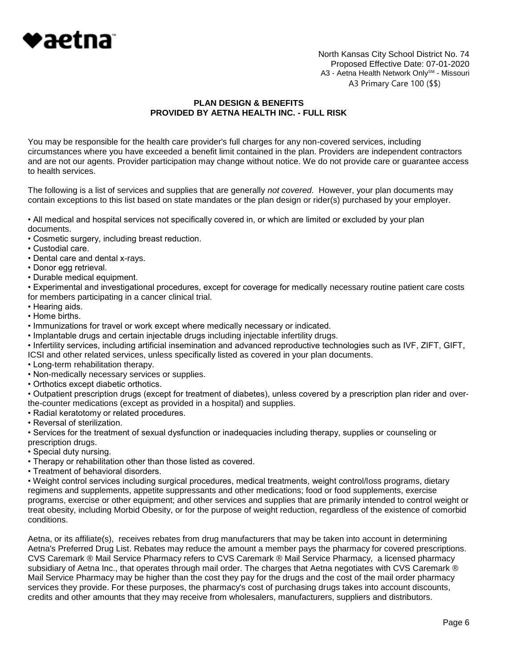

North Kansas City School District No. 74 Proposed Effective Date: 07-01-2020 A3 - Aetna Health Network Only<sup>SM</sup> - Missouri A3 Primary Care 100 (\$\$)

## **PLAN DESIGN & BENEFITS PROVIDED BY AETNA HEALTH INC. - FULL RISK**

You may be responsible for the health care provider's full charges for any non-covered services, including circumstances where you have exceeded a benefit limit contained in the plan. Providers are independent contractors and are not our agents. Provider participation may change without notice. We do not provide care or guarantee access to health services.

The following is a list of services and supplies that are generally *not covered*. However, your plan documents may contain exceptions to this list based on state mandates or the plan design or rider(s) purchased by your employer.

• All medical and hospital services not specifically covered in, or which are limited or excluded by your plan documents.

- Cosmetic surgery, including breast reduction.
- Custodial care.
- Dental care and dental x-rays.
- Donor egg retrieval.
- Durable medical equipment.

• Experimental and investigational procedures, except for coverage for medically necessary routine patient care costs for members participating in a cancer clinical trial.

- Hearing aids.
- Home births.
- Immunizations for travel or work except where medically necessary or indicated.
- Implantable drugs and certain injectable drugs including injectable infertility drugs.

• Infertility services, including artificial insemination and advanced reproductive technologies such as IVF, ZIFT, GIFT, ICSI and other related services, unless specifically listed as covered in your plan documents.

- Long-term rehabilitation therapy.
- Non-medically necessary services or supplies.
- Orthotics except diabetic orthotics.

• Outpatient prescription drugs (except for treatment of diabetes), unless covered by a prescription plan rider and overthe-counter medications (except as provided in a hospital) and supplies.

- Radial keratotomy or related procedures.
- Reversal of sterilization.

• Services for the treatment of sexual dysfunction or inadequacies including therapy, supplies or counseling or prescription drugs.

- Special duty nursing.
- Therapy or rehabilitation other than those listed as covered.
- Treatment of behavioral disorders.

• Weight control services including surgical procedures, medical treatments, weight control/loss programs, dietary regimens and supplements, appetite suppressants and other medications; food or food supplements, exercise programs, exercise or other equipment; and other services and supplies that are primarily intended to control weight or treat obesity, including Morbid Obesity, or for the purpose of weight reduction, regardless of the existence of comorbid conditions.

Aetna, or its affiliate(s), receives rebates from drug manufacturers that may be taken into account in determining Aetna's Preferred Drug List. Rebates may reduce the amount a member pays the pharmacy for covered prescriptions. CVS Caremark ® Mail Service Pharmacy refers to CVS Caremark ® Mail Service Pharmacy, a licensed pharmacy subsidiary of Aetna Inc., that operates through mail order. The charges that Aetna negotiates with CVS Caremark ® Mail Service Pharmacy may be higher than the cost they pay for the drugs and the cost of the mail order pharmacy services they provide. For these purposes, the pharmacy's cost of purchasing drugs takes into account discounts, credits and other amounts that they may receive from wholesalers, manufacturers, suppliers and distributors.